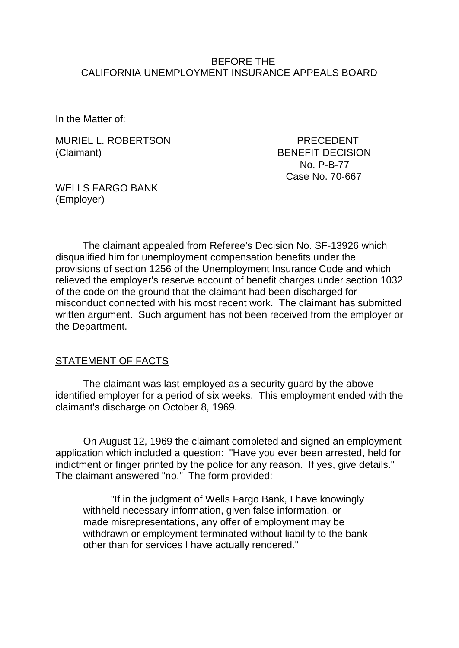#### BEFORE THE CALIFORNIA UNEMPLOYMENT INSURANCE APPEALS BOARD

In the Matter of:

MURIEL L. ROBERTSON PRECEDENT (Claimant) BENEFIT DECISION

 No. P-B-77 Case No. 70-667

WELLS FARGO BANK (Employer)

The claimant appealed from Referee's Decision No. SF-13926 which disqualified him for unemployment compensation benefits under the provisions of section 1256 of the Unemployment Insurance Code and which relieved the employer's reserve account of benefit charges under section 1032 of the code on the ground that the claimant had been discharged for misconduct connected with his most recent work. The claimant has submitted written argument. Such argument has not been received from the employer or the Department.

## STATEMENT OF FACTS

The claimant was last employed as a security guard by the above identified employer for a period of six weeks. This employment ended with the claimant's discharge on October 8, 1969.

On August 12, 1969 the claimant completed and signed an employment application which included a question: "Have you ever been arrested, held for indictment or finger printed by the police for any reason. If yes, give details." The claimant answered "no." The form provided:

"If in the judgment of Wells Fargo Bank, I have knowingly withheld necessary information, given false information, or made misrepresentations, any offer of employment may be withdrawn or employment terminated without liability to the bank other than for services I have actually rendered."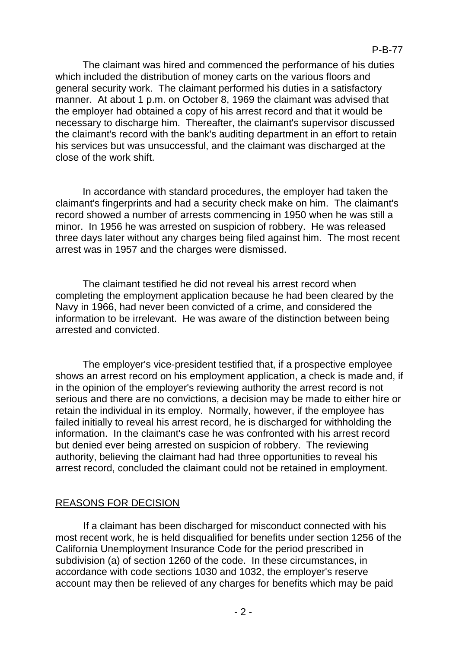The claimant was hired and commenced the performance of his duties which included the distribution of money carts on the various floors and general security work. The claimant performed his duties in a satisfactory manner. At about 1 p.m. on October 8, 1969 the claimant was advised that the employer had obtained a copy of his arrest record and that it would be necessary to discharge him. Thereafter, the claimant's supervisor discussed the claimant's record with the bank's auditing department in an effort to retain his services but was unsuccessful, and the claimant was discharged at the close of the work shift.

In accordance with standard procedures, the employer had taken the claimant's fingerprints and had a security check make on him. The claimant's record showed a number of arrests commencing in 1950 when he was still a minor. In 1956 he was arrested on suspicion of robbery. He was released three days later without any charges being filed against him. The most recent arrest was in 1957 and the charges were dismissed.

The claimant testified he did not reveal his arrest record when completing the employment application because he had been cleared by the Navy in 1966, had never been convicted of a crime, and considered the information to be irrelevant. He was aware of the distinction between being arrested and convicted.

The employer's vice-president testified that, if a prospective employee shows an arrest record on his employment application, a check is made and, if in the opinion of the employer's reviewing authority the arrest record is not serious and there are no convictions, a decision may be made to either hire or retain the individual in its employ. Normally, however, if the employee has failed initially to reveal his arrest record, he is discharged for withholding the information. In the claimant's case he was confronted with his arrest record but denied ever being arrested on suspicion of robbery. The reviewing authority, believing the claimant had had three opportunities to reveal his arrest record, concluded the claimant could not be retained in employment.

# REASONS FOR DECISION

If a claimant has been discharged for misconduct connected with his most recent work, he is held disqualified for benefits under section 1256 of the California Unemployment Insurance Code for the period prescribed in subdivision (a) of section 1260 of the code. In these circumstances, in accordance with code sections 1030 and 1032, the employer's reserve account may then be relieved of any charges for benefits which may be paid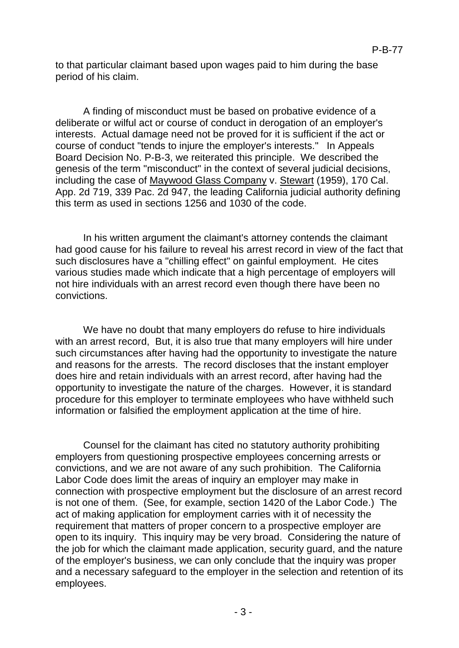to that particular claimant based upon wages paid to him during the base period of his claim.

A finding of misconduct must be based on probative evidence of a deliberate or wilful act or course of conduct in derogation of an employer's interests. Actual damage need not be proved for it is sufficient if the act or course of conduct "tends to injure the employer's interests." In Appeals Board Decision No. P-B-3, we reiterated this principle. We described the genesis of the term "misconduct" in the context of several judicial decisions, including the case of Maywood Glass Company v. Stewart (1959), 170 Cal. App. 2d 719, 339 Pac. 2d 947, the leading California judicial authority defining this term as used in sections 1256 and 1030 of the code.

In his written argument the claimant's attorney contends the claimant had good cause for his failure to reveal his arrest record in view of the fact that such disclosures have a "chilling effect" on gainful employment. He cites various studies made which indicate that a high percentage of employers will not hire individuals with an arrest record even though there have been no convictions.

We have no doubt that many employers do refuse to hire individuals with an arrest record, But, it is also true that many employers will hire under such circumstances after having had the opportunity to investigate the nature and reasons for the arrests. The record discloses that the instant employer does hire and retain individuals with an arrest record, after having had the opportunity to investigate the nature of the charges. However, it is standard procedure for this employer to terminate employees who have withheld such information or falsified the employment application at the time of hire.

Counsel for the claimant has cited no statutory authority prohibiting employers from questioning prospective employees concerning arrests or convictions, and we are not aware of any such prohibition. The California Labor Code does limit the areas of inquiry an employer may make in connection with prospective employment but the disclosure of an arrest record is not one of them. (See, for example, section 1420 of the Labor Code.) The act of making application for employment carries with it of necessity the requirement that matters of proper concern to a prospective employer are open to its inquiry. This inquiry may be very broad. Considering the nature of the job for which the claimant made application, security guard, and the nature of the employer's business, we can only conclude that the inquiry was proper and a necessary safeguard to the employer in the selection and retention of its employees.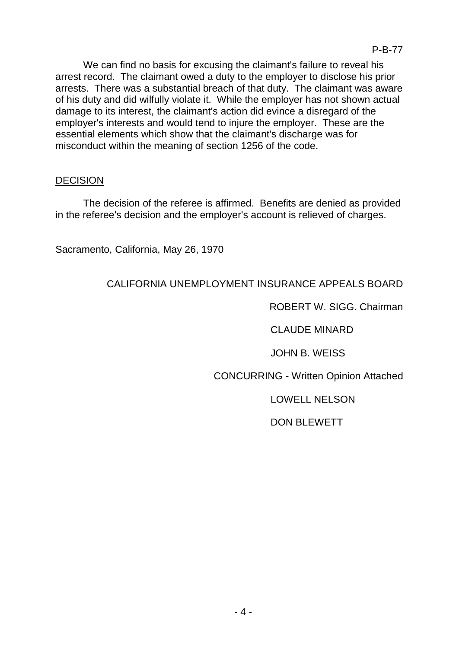We can find no basis for excusing the claimant's failure to reveal his arrest record. The claimant owed a duty to the employer to disclose his prior arrests. There was a substantial breach of that duty. The claimant was aware of his duty and did wilfully violate it. While the employer has not shown actual damage to its interest, the claimant's action did evince a disregard of the employer's interests and would tend to injure the employer. These are the essential elements which show that the claimant's discharge was for misconduct within the meaning of section 1256 of the code.

## DECISION

The decision of the referee is affirmed. Benefits are denied as provided in the referee's decision and the employer's account is relieved of charges.

Sacramento, California, May 26, 1970

## CALIFORNIA UNEMPLOYMENT INSURANCE APPEALS BOARD

ROBERT W. SIGG. Chairman

CLAUDE MINARD

JOHN B. WEISS

CONCURRING - Written Opinion Attached

LOWELL NELSON

DON BLEWETT